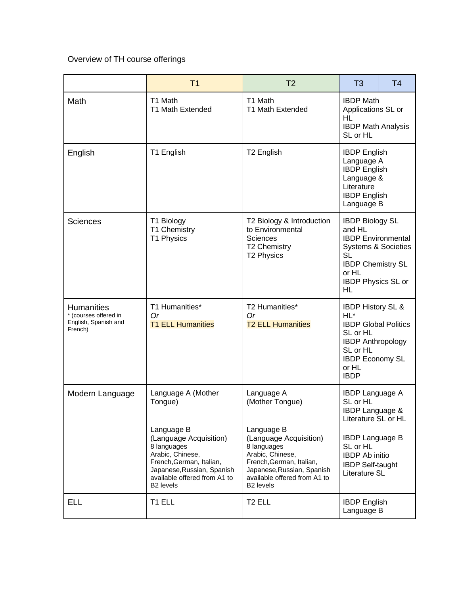Overview of TH course offerings

|                                                                               | T <sub>1</sub>                                                                                                                                                                             | T <sub>2</sub>                                                                                                                                                                             | T <sub>3</sub>                                                                                                                                                                | T <sub>4</sub> |
|-------------------------------------------------------------------------------|--------------------------------------------------------------------------------------------------------------------------------------------------------------------------------------------|--------------------------------------------------------------------------------------------------------------------------------------------------------------------------------------------|-------------------------------------------------------------------------------------------------------------------------------------------------------------------------------|----------------|
| Math                                                                          | T1 Math<br><b>T1 Math Extended</b>                                                                                                                                                         | T1 Math<br>T1 Math Extended                                                                                                                                                                | <b>IBDP Math</b><br>Applications SL or<br>HL<br><b>IBDP Math Analysis</b><br>SL or HL                                                                                         |                |
| English                                                                       | T1 English                                                                                                                                                                                 | T <sub>2</sub> English                                                                                                                                                                     | <b>IBDP</b> English<br>Language A<br><b>IBDP English</b><br>Language &<br>Literature<br><b>IBDP</b> English<br>Language B                                                     |                |
| <b>Sciences</b>                                                               | T1 Biology<br>T1 Chemistry<br>T1 Physics                                                                                                                                                   | T2 Biology & Introduction<br>to Environmental<br>Sciences<br><b>T2 Chemistry</b><br><b>T2 Physics</b>                                                                                      | <b>IBDP Biology SL</b><br>and HL<br><b>IBDP</b> Environmental<br><b>Systems &amp; Societies</b><br>SL<br><b>IBDP Chemistry SL</b><br>or HL<br><b>IBDP Physics SL or</b><br>HL |                |
| <b>Humanities</b><br>* (courses offered in<br>English, Spanish and<br>French) | T1 Humanities*<br><b>Or</b><br><b>T1 ELL Humanities</b>                                                                                                                                    | T2 Humanities*<br>Or<br><b>T2 ELL Humanities</b>                                                                                                                                           | <b>IBDP History SL &amp;</b><br>HL*<br><b>IBDP Global Politics</b><br>SL or HL<br><b>IBDP Anthropology</b><br>SL or HL<br><b>IBDP Economy SL</b><br>or HL<br><b>IBDP</b>      |                |
| Modern Language                                                               | Language A (Mother<br>Tongue)                                                                                                                                                              | Language A<br>(Mother Tongue)                                                                                                                                                              | <b>IBDP Language A</b><br>SL or HL<br><b>IBDP Language &amp;</b><br>Literature SL or HL                                                                                       |                |
|                                                                               | Language B<br>(Language Acquisition)<br>8 languages<br>Arabic, Chinese,<br>French, German, Italian,<br>Japanese, Russian, Spanish<br>available offered from A1 to<br>B <sub>2</sub> levels | Language B<br>(Language Acquisition)<br>8 languages<br>Arabic, Chinese,<br>French, German, Italian,<br>Japanese, Russian, Spanish<br>available offered from A1 to<br>B <sub>2</sub> levels | <b>IBDP Language B</b><br>SL or HL<br><b>IBDP</b> Ab initio<br><b>IBDP Self-taught</b><br>Literature SL                                                                       |                |
| <b>ELL</b>                                                                    | T1 ELL                                                                                                                                                                                     | T <sub>2</sub> ELL                                                                                                                                                                         | <b>IBDP</b> English<br>Language B                                                                                                                                             |                |